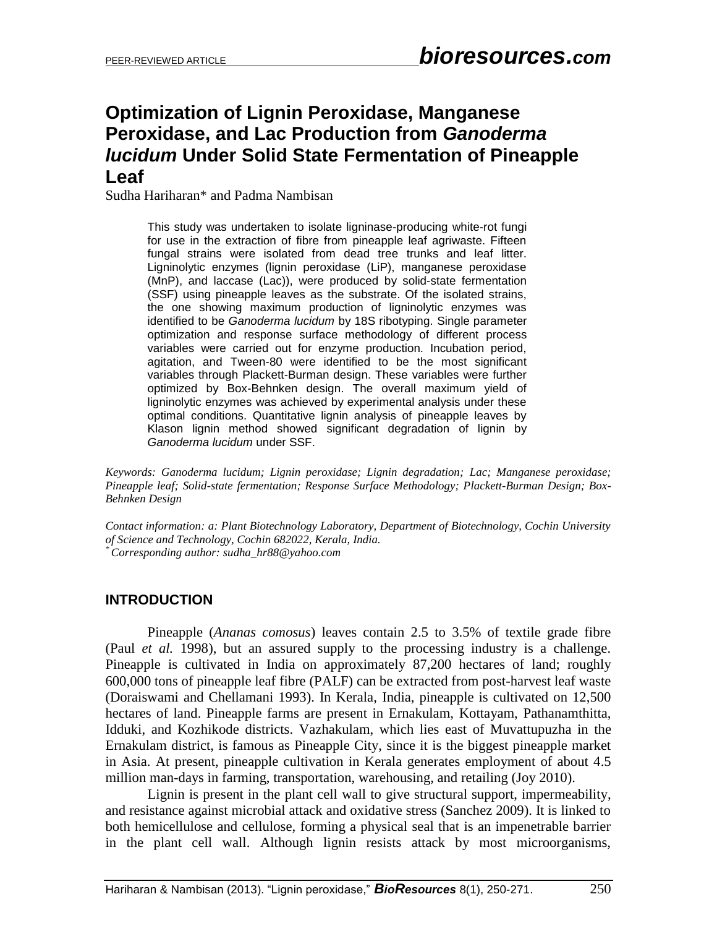# **Optimization of Lignin Peroxidase, Manganese Peroxidase, and Lac Production from** *Ganoderma lucidum* **Under Solid State Fermentation of Pineapple Leaf**

Sudha Hariharan\* and Padma Nambisan

This study was undertaken to isolate ligninase-producing white-rot fungi for use in the extraction of fibre from pineapple leaf agriwaste. Fifteen fungal strains were isolated from dead tree trunks and leaf litter. Ligninolytic enzymes (lignin peroxidase (LiP), manganese peroxidase (MnP), and laccase (Lac)), were produced by solid-state fermentation (SSF) using pineapple leaves as the substrate. Of the isolated strains, the one showing maximum production of ligninolytic enzymes was identified to be *Ganoderma lucidum* by 18S ribotyping. Single parameter optimization and response surface methodology of different process variables were carried out for enzyme production. Incubation period, agitation, and Tween-80 were identified to be the most significant variables through Plackett-Burman design. These variables were further optimized by Box-Behnken design. The overall maximum yield of ligninolytic enzymes was achieved by experimental analysis under these optimal conditions. Quantitative lignin analysis of pineapple leaves by Klason lignin method showed significant degradation of lignin by *Ganoderma lucidum* under SSF.

*Keywords: Ganoderma lucidum; Lignin peroxidase; Lignin degradation; Lac; Manganese peroxidase; Pineapple leaf; Solid-state fermentation; Response Surface Methodology; Plackett-Burman Design; Box-Behnken Design*

*Contact information: a: Plant Biotechnology Laboratory, Department of Biotechnology, Cochin University of Science and Technology, Cochin 682022, Kerala, India. \* Corresponding author: sudha\_hr88@yahoo.com*

#### **INTRODUCTION**

Pineapple (*Ananas comosus*) leaves contain 2.5 to 3.5% of textile grade fibre (Paul *et al.* 1998), but an assured supply to the processing industry is a challenge. Pineapple is cultivated in India on approximately 87,200 hectares of land; roughly 600,000 tons of pineapple leaf fibre (PALF) can be extracted from post-harvest leaf waste (Doraiswami and Chellamani 1993). In Kerala, India, pineapple is cultivated on 12,500 hectares of land. Pineapple farms are present in Ernakulam, Kottayam, Pathanamthitta, Idduki, and Kozhikode districts. Vazhakulam, which lies east of Muvattupuzha in the Ernakulam district, is famous as Pineapple City, since it is the biggest pineapple market in Asia. At present, pineapple cultivation in Kerala generates employment of about 4.5 million man-days in farming, transportation, warehousing, and retailing (Joy 2010).

Lignin is present in the plant cell wall to give structural support, impermeability, and resistance against microbial attack and oxidative stress (Sanchez 2009). It is linked to both hemicellulose and cellulose, forming a physical seal that is an impenetrable barrier in the plant cell wall. Although lignin resists attack by most microorganisms,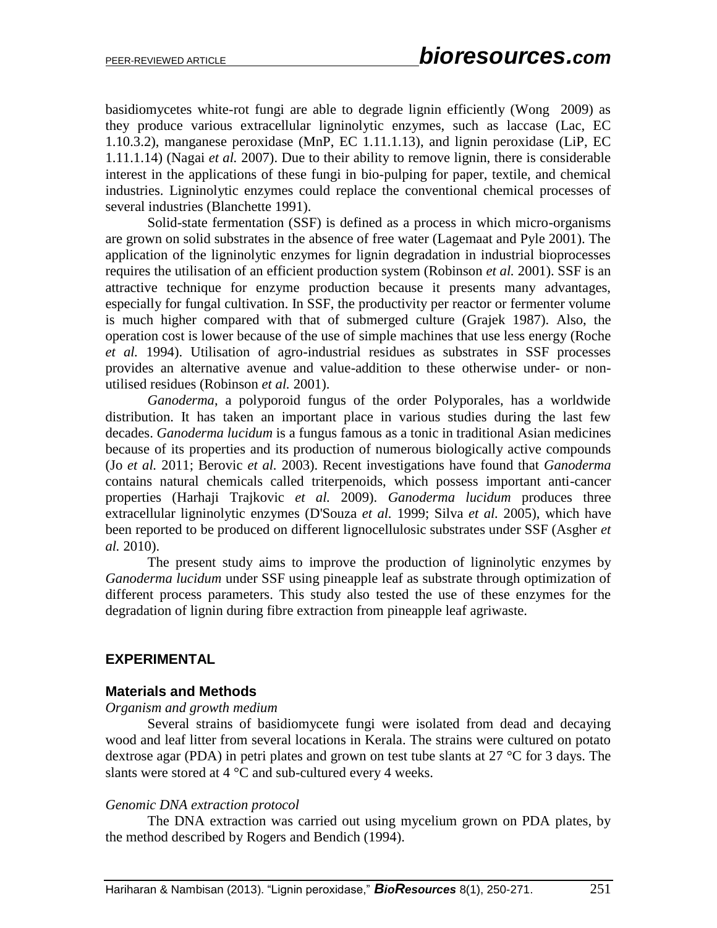basidiomycetes white-rot fungi are able to degrade lignin efficiently (Wong 2009) as they produce various extracellular ligninolytic enzymes, such as laccase (Lac, EC 1.10.3.2), manganese peroxidase (MnP, EC 1.11.1.13), and lignin peroxidase (LiP, EC 1.11.1.14) (Nagai *et al.* 2007). Due to their ability to remove lignin, there is considerable interest in the applications of these fungi in bio-pulping for paper, textile, and chemical industries. Ligninolytic enzymes could replace the conventional chemical processes of several industries (Blanchette 1991).

Solid-state fermentation (SSF) is defined as a process in which micro-organisms are grown on solid substrates in the absence of free water (Lagemaat and Pyle 2001). The application of the ligninolytic enzymes for lignin degradation in industrial bioprocesses requires the utilisation of an efficient production system (Robinson *et al.* 2001). SSF is an attractive technique for enzyme production because it presents many advantages, especially for fungal cultivation. In SSF, the productivity per reactor or fermenter volume is much higher compared with that of submerged culture (Grajek 1987). Also, the operation cost is lower because of the use of simple machines that use less energy (Roche *et al.* 1994). Utilisation of agro-industrial residues as substrates in SSF processes provides an alternative avenue and value-addition to these otherwise under- or nonutilised residues (Robinson *et al.* 2001).

 *Ganoderma*, a polyporoid fungus of the order Polyporales, has a worldwide distribution. It has taken an important place in various studies during the last few decades. *Ganoderma lucidum* is a fungus famous as a tonic in traditional Asian medicines because of its properties and its production of numerous biologically active compounds (Jo *et al.* 2011; Berovic *et al.* 2003). Recent investigations have found that *Ganoderma* contains natural chemicals called triterpenoids, which possess important anti-cancer properties (Harhaji Trajkovic *et al.* 2009). *Ganoderma lucidum* produces three extracellular ligninolytic enzymes (D'Souza *et al.* 1999; Silva *et al.* 2005), which have been reported to be produced on different lignocellulosic substrates under SSF (Asgher *et al.* 2010).

The present study aims to improve the production of ligninolytic enzymes by *Ganoderma lucidum* under SSF using pineapple leaf as substrate through optimization of different process parameters. This study also tested the use of these enzymes for the degradation of lignin during fibre extraction from pineapple leaf agriwaste.

## **EXPERIMENTAL**

## **Materials and Methods**

#### *Organism and growth medium*

Several strains of basidiomycete fungi were isolated from dead and decaying wood and leaf litter from several locations in Kerala. The strains were cultured on potato dextrose agar (PDA) in petri plates and grown on test tube slants at 27 °C for 3 days. The slants were stored at  $4^{\circ}$ C and sub-cultured every 4 weeks.

#### *Genomic DNA extraction protocol*

The DNA extraction was carried out using mycelium grown on PDA plates, by the method described by Rogers and Bendich (1994).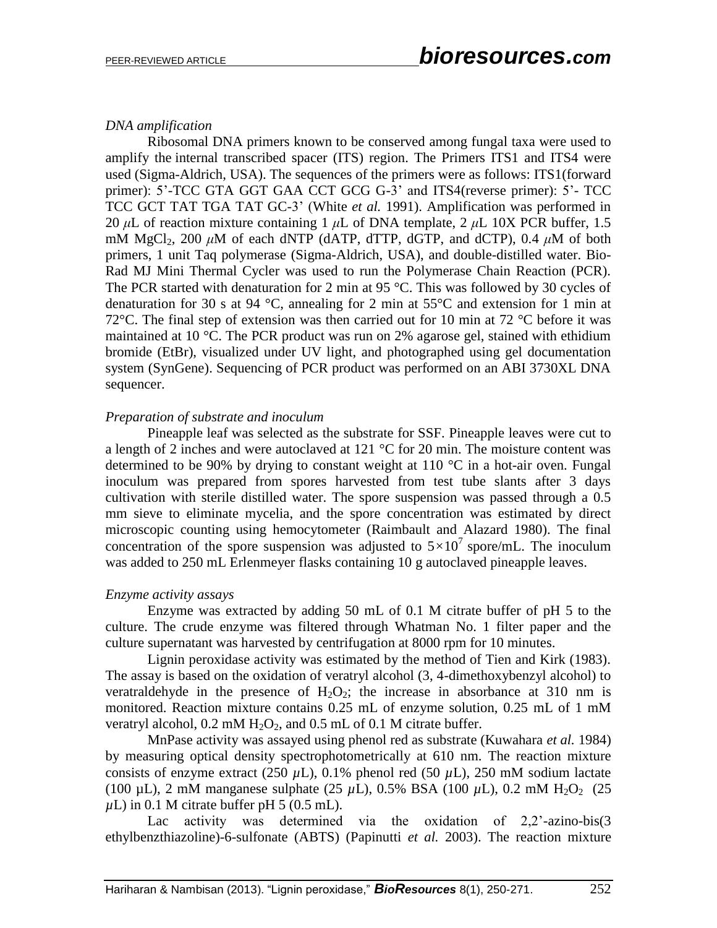### *DNA amplification*

Ribosomal DNA primers known to be conserved among fungal taxa were used to amplify the internal transcribed spacer (ITS) region. The Primers ITS1 and ITS4 were used (Sigma-Aldrich, USA). The sequences of the primers were as follows: ITS1(forward primer): 5'-TCC GTA GGT GAA CCT GCG G-3' and ITS4(reverse primer): 5'- TCC TCC GCT TAT TGA TAT GC-3' (White *et al.* 1991). Amplification was performed in 20 *μ*L of reaction mixture containing 1 *μ*L of DNA template, 2 *μ*L 10X PCR buffer, 1.5 mM MgCl<sub>2</sub>, 200  $\mu$ M of each dNTP (dATP, dTTP, dGTP, and dCTP), 0.4  $\mu$ M of both primers, 1 unit Taq polymerase (Sigma-Aldrich, USA), and double-distilled water. Bio-Rad MJ Mini Thermal Cycler was used to run the Polymerase Chain Reaction (PCR). The PCR started with denaturation for 2 min at 95 °C. This was followed by 30 cycles of denaturation for 30 s at 94 °C, annealing for 2 min at 55 °C and extension for 1 min at 72 $\degree$ C. The final step of extension was then carried out for 10 min at 72  $\degree$ C before it was maintained at 10 °C. The PCR product was run on 2% agarose gel, stained with ethidium bromide (EtBr), visualized under UV light, and photographed using gel documentation system (SynGene). Sequencing of PCR product was performed on an ABI 3730XL DNA sequencer.

### *Preparation of substrate and inoculum*

Pineapple leaf was selected as the substrate for SSF. Pineapple leaves were cut to a length of 2 inches and were autoclaved at 121 °C for 20 min. The moisture content was determined to be 90% by drying to constant weight at 110 °C in a hot-air oven. Fungal inoculum was prepared from spores harvested from test tube slants after 3 days cultivation with sterile distilled water. The spore suspension was passed through a 0.5 mm sieve to eliminate mycelia, and the spore concentration was estimated by direct microscopic counting using hemocytometer (Raimbault and Alazard 1980). The final concentration of the spore suspension was adjusted to  $5\times10^7$  spore/mL. The inoculum was added to 250 mL Erlenmeyer flasks containing 10 g autoclaved pineapple leaves.

#### *Enzyme activity assays*

Enzyme was extracted by adding 50 mL of 0.1 M citrate buffer of pH 5 to the culture. The crude enzyme was filtered through Whatman No. 1 filter paper and the culture supernatant was harvested by centrifugation at 8000 rpm for 10 minutes.

Lignin peroxidase activity was estimated by the method of Tien and Kirk (1983). The assay is based on the oxidation of veratryl alcohol (3, 4-dimethoxybenzyl alcohol) to veratraldehyde in the presence of  $H_2O_2$ ; the increase in absorbance at 310 nm is monitored. Reaction mixture contains 0.25 mL of enzyme solution, 0.25 mL of 1 mM veratryl alcohol,  $0.2 \text{ mM H}_2\text{O}_2$ , and  $0.5 \text{ mL of } 0.1 \text{ M}$  citrate buffer.

MnPase activity was assayed using phenol red as substrate (Kuwahara *et al.* 1984) by measuring optical density spectrophotometrically at 610 nm. The reaction mixture consists of enzyme extract (250  $\mu$ L), 0.1% phenol red (50  $\mu$ L), 250 mM sodium lactate (100 µL), 2 mM manganese sulphate (25 µL), 0.5% BSA (100 µL), 0.2 mM  $H_2O_2$  (25  $\mu$ L) in 0.1 M citrate buffer pH 5 (0.5 mL).

Lac activity was determined via the oxidation of 2,2<sup>'</sup>-azino-bis(3) ethylbenzthiazoline)-6-sulfonate (ABTS) (Papinutti *et al.* 2003). The reaction mixture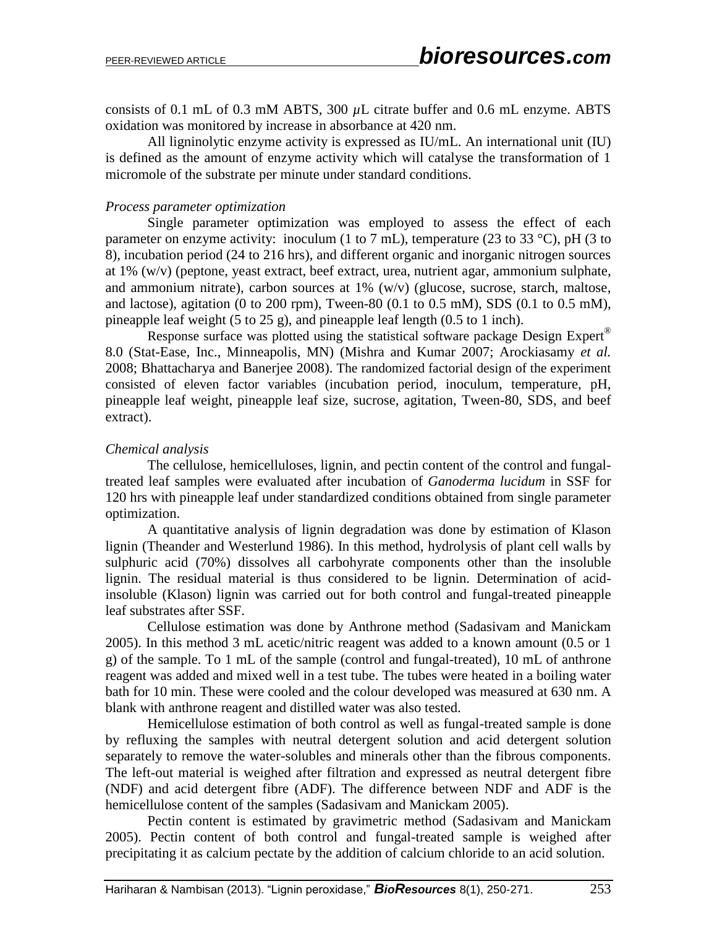consists of 0.1 mL of 0.3 mM ABTS, 300 *µ*L citrate buffer and 0.6 mL enzyme. ABTS oxidation was monitored by increase in absorbance at 420 nm.

All ligninolytic enzyme activity is expressed as IU/mL. An international unit (IU) is defined as the amount of enzyme activity which will catalyse the transformation of 1 micromole of the substrate per minute under standard conditions.

#### *Process parameter optimization*

Single parameter optimization was employed to assess the effect of each parameter on enzyme activity: inoculum (1 to 7 mL), temperature (23 to 33 °C), pH (3 to 8), incubation period (24 to 216 hrs), and different organic and inorganic nitrogen sources at 1% (w/v) (peptone, yeast extract, beef extract, urea, nutrient agar, ammonium sulphate, and ammonium nitrate), carbon sources at 1% (w/v) (glucose, sucrose, starch, maltose, and lactose), agitation (0 to 200 rpm), Tween-80 (0.1 to 0.5 mM), SDS (0.1 to 0.5 mM), pineapple leaf weight (5 to 25 g), and pineapple leaf length (0.5 to 1 inch).

Response surface was plotted using the statistical software package Design Expert<sup>®</sup> 8.0 (Stat-Ease, Inc., Minneapolis, MN) (Mishra and Kumar 2007; Arockiasamy *et al.* 2008; Bhattacharya and Banerjee 2008). The randomized factorial design of the experiment consisted of eleven factor variables (incubation period, inoculum, temperature, pH, pineapple leaf weight, pineapple leaf size, sucrose, agitation, Tween-80, SDS, and beef extract).

### *Chemical analysis*

The cellulose, hemicelluloses, lignin, and pectin content of the control and fungaltreated leaf samples were evaluated after incubation of *Ganoderma lucidum* in SSF for 120 hrs with pineapple leaf under standardized conditions obtained from single parameter optimization.

A quantitative analysis of lignin degradation was done by estimation of Klason lignin (Theander and Westerlund 1986). In this method, hydrolysis of plant cell walls by sulphuric acid (70%) dissolves all carbohyrate components other than the insoluble lignin. The residual material is thus considered to be lignin. Determination of acidinsoluble (Klason) lignin was carried out for both control and fungal-treated pineapple leaf substrates after SSF.

Cellulose estimation was done by Anthrone method (Sadasivam and Manickam 2005). In this method 3 mL acetic/nitric reagent was added to a known amount (0.5 or 1 g) of the sample. To 1 mL of the sample (control and fungal-treated), 10 mL of anthrone reagent was added and mixed well in a test tube. The tubes were heated in a boiling water bath for 10 min. These were cooled and the colour developed was measured at 630 nm. A blank with anthrone reagent and distilled water was also tested.

Hemicellulose estimation of both control as well as fungal-treated sample is done by refluxing the samples with neutral detergent solution and acid detergent solution separately to remove the water-solubles and minerals other than the fibrous components. The left-out material is weighed after filtration and expressed as neutral detergent fibre (NDF) and acid detergent fibre (ADF). The difference between NDF and ADF is the hemicellulose content of the samples (Sadasivam and Manickam 2005).

Pectin content is estimated by gravimetric method (Sadasivam and Manickam 2005). Pectin content of both control and fungal-treated sample is weighed after precipitating it as calcium pectate by the addition of calcium chloride to an acid solution.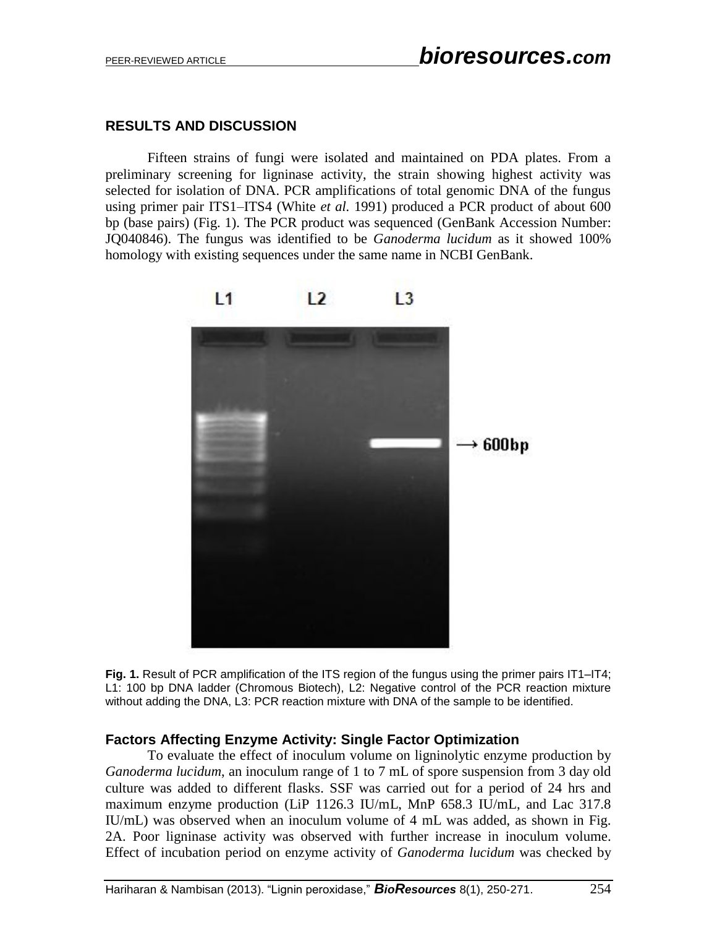## **RESULTS AND DISCUSSION**

Fifteen strains of fungi were isolated and maintained on PDA plates. From a preliminary screening for ligninase activity, the strain showing highest activity was selected for isolation of DNA. PCR amplifications of total genomic DNA of the fungus using primer pair ITS1–ITS4 (White *et al.* 1991) produced a PCR product of about 600 bp (base pairs) (Fig. 1). The PCR product was sequenced (GenBank Accession Number: JQ040846). The fungus was identified to be *Ganoderma lucidum* as it showed 100% homology with existing sequences under the same name in NCBI GenBank.



**Fig. 1.** Result of PCR amplification of the ITS region of the fungus using the primer pairs IT1–IT4; L1: 100 bp DNA ladder (Chromous Biotech), L2: Negative control of the PCR reaction mixture without adding the DNA, L3: PCR reaction mixture with DNA of the sample to be identified.

## **Factors Affecting Enzyme Activity: Single Factor Optimization**

To evaluate the effect of inoculum volume on ligninolytic enzyme production by *Ganoderma lucidum*, an inoculum range of 1 to 7 mL of spore suspension from 3 day old culture was added to different flasks. SSF was carried out for a period of 24 hrs and maximum enzyme production (LiP 1126.3 IU/mL, MnP 658.3 IU/mL, and Lac 317.8 IU/mL) was observed when an inoculum volume of 4 mL was added, as shown in Fig. 2A. Poor ligninase activity was observed with further increase in inoculum volume. Effect of incubation period on enzyme activity of *Ganoderma lucidum* was checked by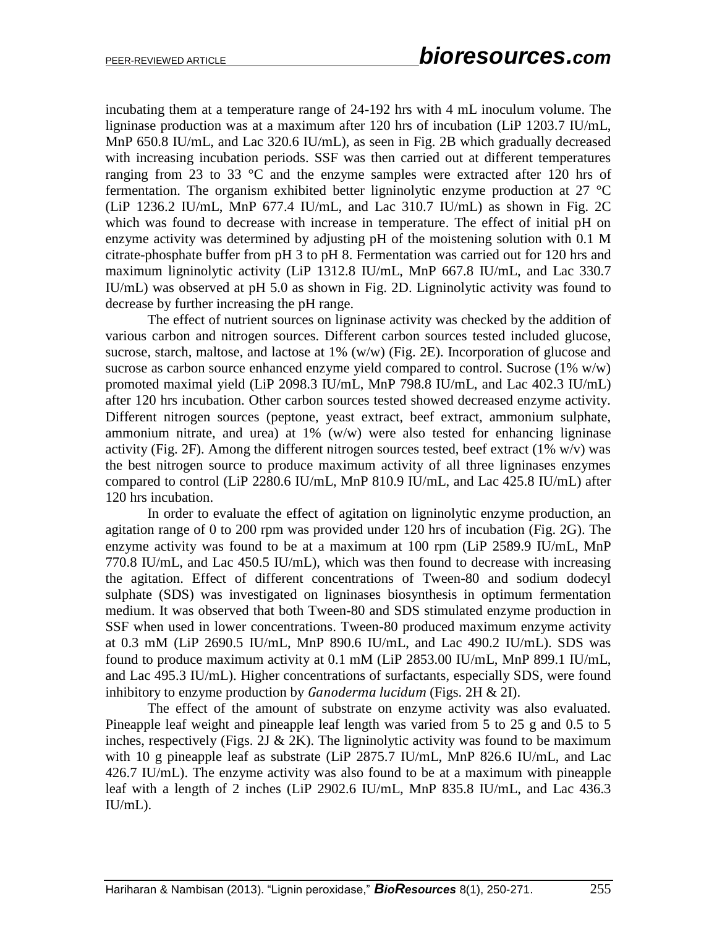incubating them at a temperature range of 24-192 hrs with 4 mL inoculum volume. The ligninase production was at a maximum after 120 hrs of incubation (LiP 1203.7 IU/mL, MnP 650.8 IU/mL, and Lac 320.6 IU/mL), as seen in Fig. 2B which gradually decreased with increasing incubation periods. SSF was then carried out at different temperatures ranging from 23 to 33  $\degree$ C and the enzyme samples were extracted after 120 hrs of fermentation. The organism exhibited better ligninolytic enzyme production at 27 °C (LiP 1236.2 IU/mL, MnP 677.4 IU/mL, and Lac 310.7 IU/mL) as shown in Fig. 2C which was found to decrease with increase in temperature. The effect of initial pH on enzyme activity was determined by adjusting pH of the moistening solution with 0.1 M citrate-phosphate buffer from pH 3 to pH 8. Fermentation was carried out for 120 hrs and maximum ligninolytic activity (LiP 1312.8 IU/mL, MnP 667.8 IU/mL, and Lac 330.7 IU/mL) was observed at pH 5.0 as shown in Fig. 2D. Ligninolytic activity was found to decrease by further increasing the pH range.

The effect of nutrient sources on ligninase activity was checked by the addition of various carbon and nitrogen sources. Different carbon sources tested included glucose, sucrose, starch, maltose, and lactose at 1% (w/w) (Fig. 2E). Incorporation of glucose and sucrose as carbon source enhanced enzyme yield compared to control. Sucrose (1% w/w) promoted maximal yield (LiP 2098.3 IU/mL, MnP 798.8 IU/mL, and Lac 402.3 IU/mL) after 120 hrs incubation. Other carbon sources tested showed decreased enzyme activity. Different nitrogen sources (peptone, yeast extract, beef extract, ammonium sulphate, ammonium nitrate, and urea) at 1% (w/w) were also tested for enhancing ligninase activity (Fig. 2F). Among the different nitrogen sources tested, beef extract (1% w/v) was the best nitrogen source to produce maximum activity of all three ligninases enzymes compared to control (LiP 2280.6 IU/mL, MnP 810.9 IU/mL, and Lac 425.8 IU/mL) after 120 hrs incubation.

In order to evaluate the effect of agitation on ligninolytic enzyme production, an agitation range of 0 to 200 rpm was provided under 120 hrs of incubation (Fig. 2G). The enzyme activity was found to be at a maximum at 100 rpm (LiP 2589.9 IU/mL, MnP 770.8 IU/mL, and Lac 450.5 IU/mL), which was then found to decrease with increasing the agitation. Effect of different concentrations of Tween-80 and sodium dodecyl sulphate (SDS) was investigated on ligninases biosynthesis in optimum fermentation medium. It was observed that both Tween-80 and SDS stimulated enzyme production in SSF when used in lower concentrations. Tween-80 produced maximum enzyme activity at 0.3 mM (LiP 2690.5 IU/mL, MnP 890.6 IU/mL, and Lac 490.2 IU/mL). SDS was found to produce maximum activity at 0.1 mM (LiP 2853.00 IU/mL, MnP 899.1 IU/mL, and Lac 495.3 IU/mL). Higher concentrations of surfactants, especially SDS, were found inhibitory to enzyme production by *Ganoderma lucidum* (Figs. 2H & 2I).

The effect of the amount of substrate on enzyme activity was also evaluated. Pineapple leaf weight and pineapple leaf length was varied from 5 to 25 g and 0.5 to 5 inches, respectively (Figs. 2J & 2K). The ligninolytic activity was found to be maximum with 10 g pineapple leaf as substrate (LiP 2875.7 IU/mL, MnP 826.6 IU/mL, and Lac 426.7 IU/mL). The enzyme activity was also found to be at a maximum with pineapple leaf with a length of 2 inches (LiP 2902.6 IU/mL, MnP 835.8 IU/mL, and Lac 436.3 IU/mL).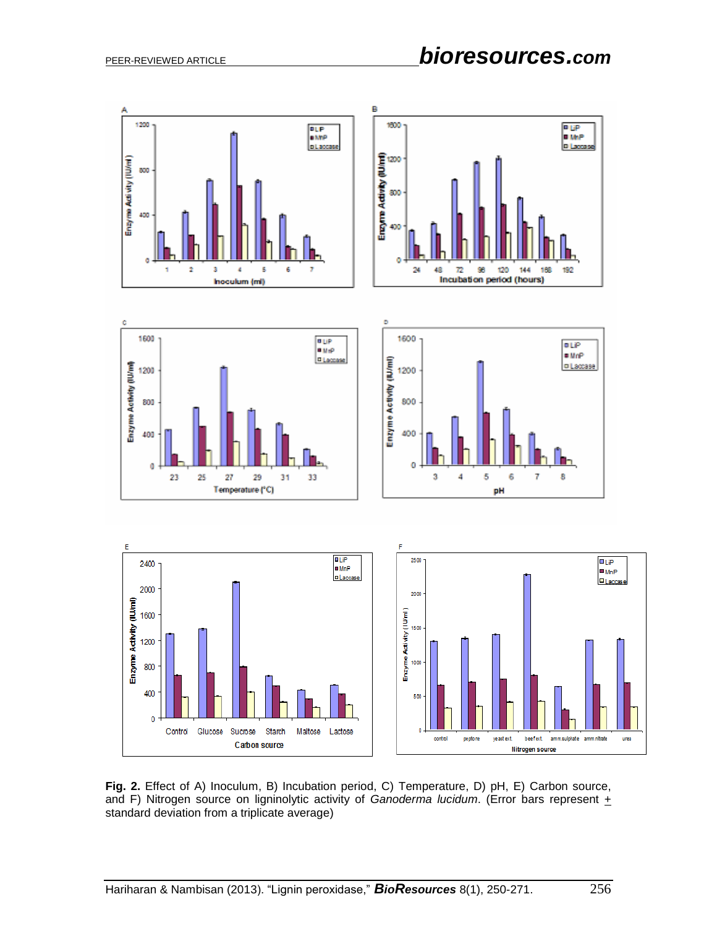

**Fig. 2.** Effect of A) Inoculum, B) Incubation period, C) Temperature, D) pH, E) Carbon source, and F) Nitrogen source on ligninolytic activity of *Ganoderma lucidum*. (Error bars represent + standard deviation from a triplicate average)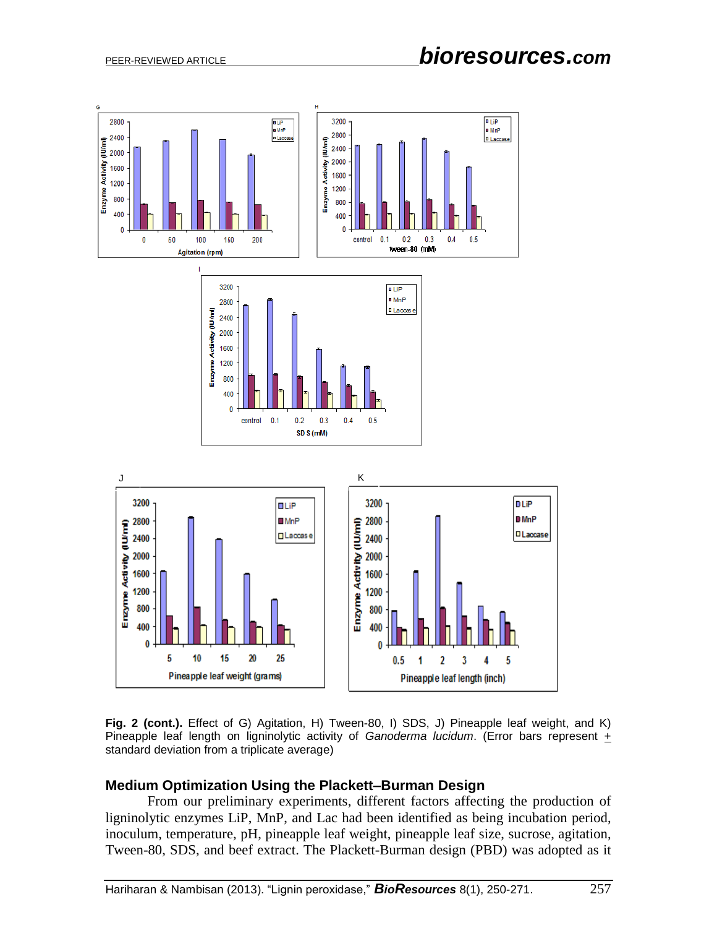

**Fig. 2 (cont.).** Effect of G) Agitation, H) Tween-80, I) SDS, J) Pineapple leaf weight, and K) Pineapple leaf length on ligninolytic activity of *Ganoderma lucidum*. (Error bars represent  $+$ standard deviation from a triplicate average)

#### **Medium Optimization Using the Plackett–Burman Design**

From our preliminary experiments, different factors affecting the production of ligninolytic enzymes LiP, MnP, and Lac had been identified as being incubation period, inoculum, temperature, pH, pineapple leaf weight, pineapple leaf size, sucrose, agitation, Tween-80, SDS, and beef extract. The Plackett-Burman design (PBD) was adopted as it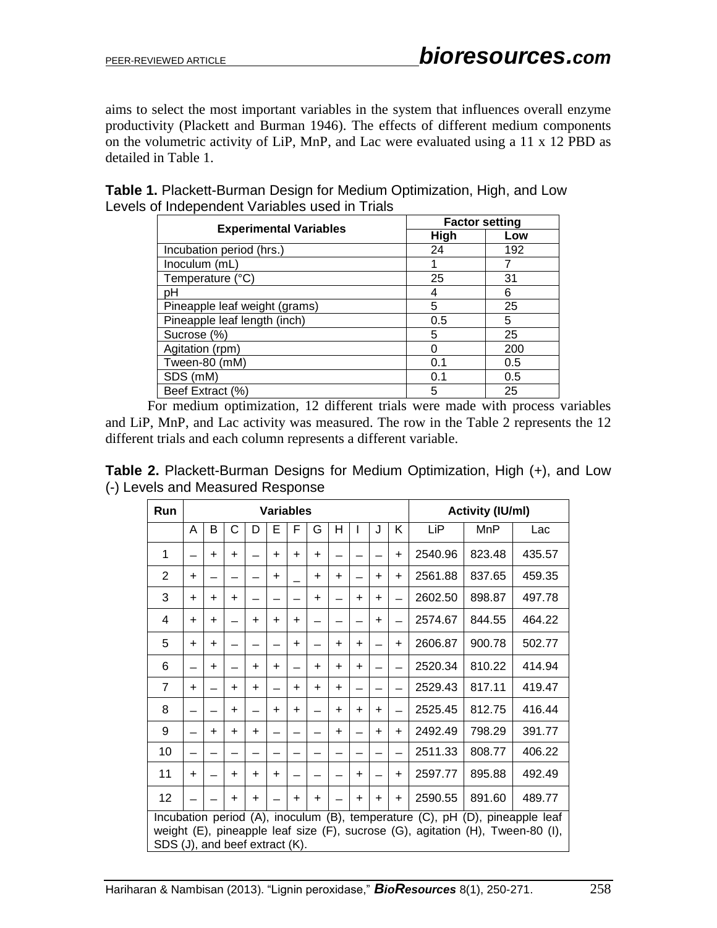aims to select the most important variables in the system that influences overall enzyme productivity (Plackett and Burman 1946). The effects of different medium components on the volumetric activity of LiP, MnP, and Lac were evaluated using a 11 x 12 PBD as detailed in Table 1.

|                               |      | <b>Factor setting</b> |
|-------------------------------|------|-----------------------|
| <b>Experimental Variables</b> | High | Low                   |
| Incubation period (hrs.)      | 24   | 192                   |
| Inoculum (mL)                 |      |                       |
| Temperature (°C)              | 25   | 31                    |
| рH                            | 4    | 6                     |
| Pineapple leaf weight (grams) | 5    | 25                    |
| Pineapple leaf length (inch)  | 0.5  | 5                     |
| Sucrose (%)                   | 5    | 25                    |
| Agitation (rpm)               |      | 200                   |
| Tween-80 (mM)                 | 0.1  | 0.5                   |
| SDS (mM)                      | 0.1  | 0.5                   |
| Beef Extract (%)              | 5    | 25                    |

**Table 1.** Plackett-Burman Design for Medium Optimization, High, and Low Levels of Independent Variables used in Trials

For medium optimization, 12 different trials were made with process variables and LiP, MnP, and Lac activity was measured. The row in the Table 2 represents the 12 different trials and each column represents a different variable.

| <b>Table 2.</b> Plackett-Burman Designs for Medium Optimization, High (+), and Low |  |  |
|------------------------------------------------------------------------------------|--|--|
| (-) Levels and Measured Response                                                   |  |  |

| Run                            |           | <b>Variables</b> |           |           |           |           |           |           |           |           |           | <b>Activity (IU/ml)</b>                                                                                                                                        |        |        |
|--------------------------------|-----------|------------------|-----------|-----------|-----------|-----------|-----------|-----------|-----------|-----------|-----------|----------------------------------------------------------------------------------------------------------------------------------------------------------------|--------|--------|
|                                | A         | В                | С         | D         | Е         | F         | G         | н         |           | J         | K         | LiP                                                                                                                                                            | MnP    | Lac    |
| 1                              |           | $\ddot{}$        | $\ddot{}$ |           | $\ddot{}$ | $\ddot{}$ | $\ddot{}$ |           |           |           | $\ddot{}$ | 2540.96                                                                                                                                                        | 823.48 | 435.57 |
| $\overline{2}$                 | $\ddot{}$ |                  |           |           | $\ddot{}$ |           | $\ddot{}$ | $\ddot{}$ |           | $\ddot{}$ | $\ddot{}$ | 2561.88                                                                                                                                                        | 837.65 | 459.35 |
| 3                              | $\ddot{}$ | ÷                | $\ddot{}$ |           |           |           | $\ddot{}$ |           | $\ddot{}$ | $\ddot{}$ |           | 2602.50                                                                                                                                                        | 898.87 | 497.78 |
| 4                              | $\ddot{}$ | $\ddot{}$        |           | $\ddot{}$ | $\ddot{}$ | $\ddot{}$ |           |           |           | $\ddot{}$ |           | 2574.67                                                                                                                                                        | 844.55 | 464.22 |
| 5                              | $\ddot{}$ | $\ddot{}$        |           |           |           | $\ddot{}$ |           | $\ddot{}$ | $\ddot{}$ |           | $\ddot{}$ | 2606.87                                                                                                                                                        | 900.78 | 502.77 |
| 6                              |           | $\ddot{}$        |           | $\ddot{}$ | $\ddot{}$ |           | $\ddot{}$ | $\ddot{}$ | $\ddot{}$ |           |           | 2520.34                                                                                                                                                        | 810.22 | 414.94 |
| $\overline{7}$                 | $\ddot{}$ |                  | $\ddot{}$ | $\ddot{}$ |           | $\ddot{}$ | $\ddot{}$ | $\ddot{}$ |           |           |           | 2529.43                                                                                                                                                        | 817.11 | 419.47 |
| 8                              |           |                  | $\ddot{}$ |           | $\ddot{}$ | $\ddot{}$ |           | $\ddot{}$ | $\ddot{}$ | $\ddot{}$ |           | 2525.45                                                                                                                                                        | 812.75 | 416.44 |
| 9                              |           | $\ddot{}$        | $\ddot{}$ | $\ddot{}$ |           |           |           | $\ddot{}$ |           | $\ddot{}$ | $\ddot{}$ | 2492.49                                                                                                                                                        | 798.29 | 391.77 |
| 10                             |           |                  |           |           |           |           |           |           |           |           |           | 2511.33                                                                                                                                                        | 808.77 | 406.22 |
| 11                             | $\ddot{}$ |                  | $\ddot{}$ | $\ddot{}$ | ÷         |           |           |           | ÷         |           | $\ddot{}$ | 2597.77                                                                                                                                                        | 895.88 | 492.49 |
| 12                             |           |                  | $\ddot{}$ | $\ddot{}$ |           | $\ddot{}$ | $\ddot{}$ |           | $\ddot{}$ | $\ddot{}$ | $\ddot{}$ | 2590.55                                                                                                                                                        | 891.60 | 489.77 |
| SDS (J), and beef extract (K). |           |                  |           |           |           |           |           |           |           |           |           | Incubation period (A), inoculum (B), temperature (C), pH (D), pineapple leaf<br>weight (E), pineapple leaf size (F), sucrose (G), agitation (H), Tween-80 (I), |        |        |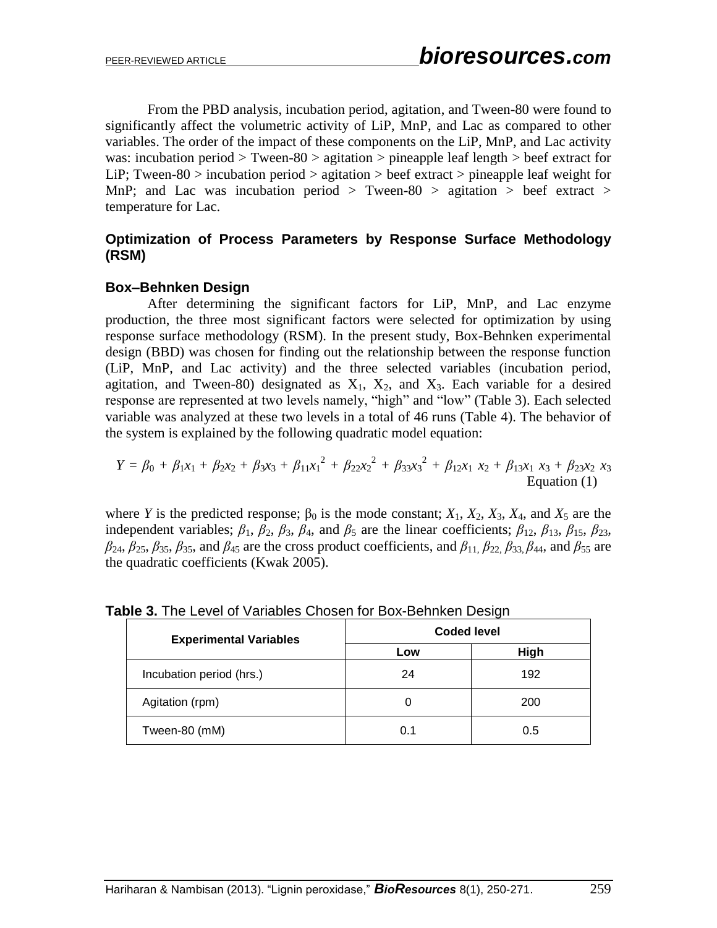From the PBD analysis, incubation period, agitation, and Tween-80 were found to significantly affect the volumetric activity of LiP, MnP, and Lac as compared to other variables. The order of the impact of these components on the LiP, MnP, and Lac activity was: incubation period  $>$  Tween-80  $>$  agitation  $>$  pineapple leaf length  $>$  beef extract for LiP; Tween-80 > incubation period > agitation > beef extract > pineapple leaf weight for MnP; and Lac was incubation period  $>$  Tween-80  $>$  agitation  $>$  beef extract  $>$ temperature for Lac.

# **Optimization of Process Parameters by Response Surface Methodology (RSM)**

## **Box–Behnken Design**

After determining the significant factors for LiP, MnP, and Lac enzyme production, the three most significant factors were selected for optimization by using response surface methodology (RSM). In the present study, Box-Behnken experimental design (BBD) was chosen for finding out the relationship between the response function (LiP, MnP, and Lac activity) and the three selected variables (incubation period, agitation, and Tween-80) designated as  $X_1$ ,  $X_2$ , and  $X_3$ . Each variable for a desired response are represented at two levels namely, "high" and "low" (Table 3). Each selected variable was analyzed at these two levels in a total of 46 runs (Table 4). The behavior of the system is explained by the following quadratic model equation:

$$
Y = \beta_0 + \beta_1 x_1 + \beta_2 x_2 + \beta_3 x_3 + \beta_{11} x_1^2 + \beta_{22} x_2^2 + \beta_{33} x_3^2 + \beta_{12} x_1 x_2 + \beta_{13} x_1 x_3 + \beta_{23} x_2 x_3
$$
Equation (1)

where *Y* is the predicted response;  $\beta_0$  is the mode constant;  $X_1$ ,  $X_2$ ,  $X_3$ ,  $X_4$ , and  $X_5$  are the independent variables;  $\beta_1$ ,  $\beta_2$ ,  $\beta_3$ ,  $\beta_4$ , and  $\beta_5$  are the linear coefficients;  $\beta_{12}$ ,  $\beta_{13}$ ,  $\beta_{15}$ ,  $\beta_{23}$ , *β*24, *β*25, *β*35, *β*35, and *β*<sup>45</sup> are the cross product coefficients, and *β*11, *β*22, *β*33, *β*44, and *β*<sup>55</sup> are the quadratic coefficients (Kwak 2005).

| <b>Experimental Variables</b> | <b>Coded level</b> |      |  |  |  |
|-------------------------------|--------------------|------|--|--|--|
|                               | Low                | High |  |  |  |
| Incubation period (hrs.)      | 24                 | 192  |  |  |  |
| Agitation (rpm)               |                    | 200  |  |  |  |
| Tween-80 (mM)                 | 0.1                | 0.5  |  |  |  |

**Table 3.** The Level of Variables Chosen for Box-Behnken Design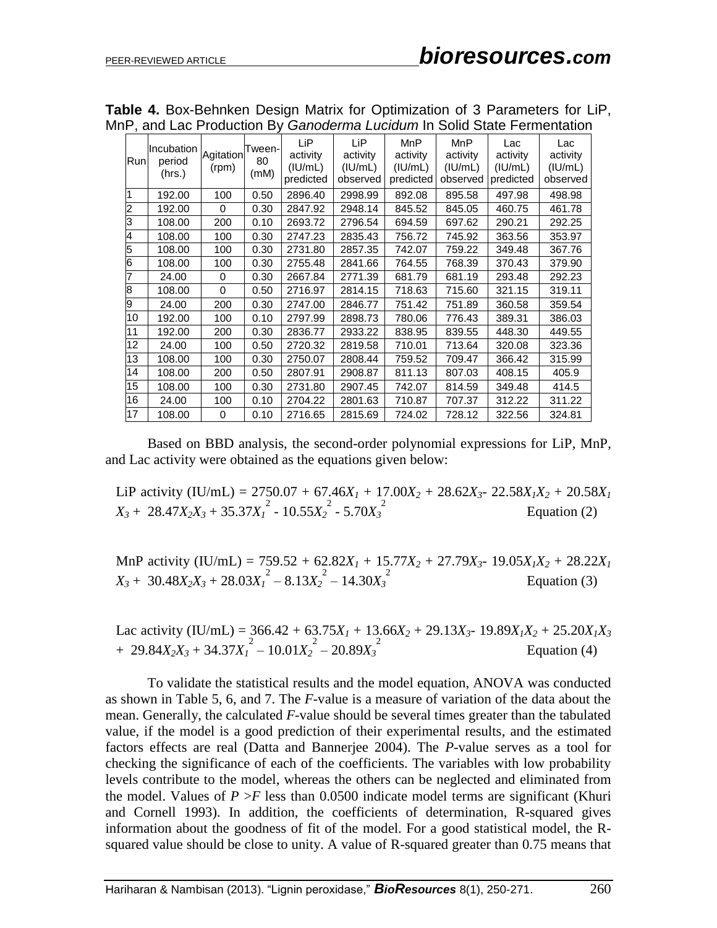|     | ii , and Each Toddollon Dy Odhodonna Edoldam in Oolld Oldio i chnomalion |                    |                      |                                         |                                        |                                                |                                               |                                         |                                        |
|-----|--------------------------------------------------------------------------|--------------------|----------------------|-----------------------------------------|----------------------------------------|------------------------------------------------|-----------------------------------------------|-----------------------------------------|----------------------------------------|
| Run | Incubation<br>period<br>(hrs.)                                           | Agitation<br>(rpm) | Tween-<br>80<br>(mM) | LiP<br>activity<br>(IU/mL)<br>predicted | LiP<br>activity<br>(IU/mL)<br>observed | <b>MnP</b><br>activity<br>(IU/mL)<br>predicted | <b>MnP</b><br>activity<br>(IU/mL)<br>observed | Lac<br>activity<br>(IU/mL)<br>predicted | Lac<br>activity<br>(IU/mL)<br>observed |
|     | 192.00                                                                   | 100                | 0.50                 | 2896.40                                 | 2998.99                                | 892.08                                         | 895.58                                        | 497.98                                  | 498.98                                 |
| 2   | 192.00                                                                   | 0                  | 0.30                 | 2847.92                                 | 2948.14                                | 845.52                                         | 845.05                                        | 460.75                                  | 461.78                                 |
| 3   | 108.00                                                                   | 200                | 0.10                 | 2693.72                                 | 2796.54                                | 694.59                                         | 697.62                                        | 290.21                                  | 292.25                                 |
| 4   | 108.00                                                                   | 100                | 0.30                 | 2747.23                                 | 2835.43                                | 756.72                                         | 745.92                                        | 363.56                                  | 353.97                                 |
| 5   | 108.00                                                                   | 100                | 0.30                 | 2731.80                                 | 2857.35                                | 742.07                                         | 759.22                                        | 349.48                                  | 367.76                                 |
| 6   | 108.00                                                                   | 100                | 0.30                 | 2755.48                                 | 2841.66                                | 764.55                                         | 768.39                                        | 370.43                                  | 379.90                                 |
| 7   | 24.00                                                                    | $\Omega$           | 0.30                 | 2667.84                                 | 2771.39                                | 681.79                                         | 681.19                                        | 293.48                                  | 292.23                                 |
| 8   | 108.00                                                                   | 0                  | 0.50                 | 2716.97                                 | 2814.15                                | 718.63                                         | 715.60                                        | 321.15                                  | 319.11                                 |
| l9  | 24.00                                                                    | 200                | 0.30                 | 2747.00                                 | 2846.77                                | 751.42                                         | 751.89                                        | 360.58                                  | 359.54                                 |
| 10  | 192.00                                                                   | 100                | 0.10                 | 2797.99                                 | 2898.73                                | 780.06                                         | 776.43                                        | 389.31                                  | 386.03                                 |
| 11  | 192.00                                                                   | 200                | 0.30                 | 2836.77                                 | 2933.22                                | 838.95                                         | 839.55                                        | 448.30                                  | 449.55                                 |
| 12  | 24.00                                                                    | 100                | 0.50                 | 2720.32                                 | 2819.58                                | 710.01                                         | 713.64                                        | 320.08                                  | 323.36                                 |
| 13  | 108.00                                                                   | 100                | 0.30                 | 2750.07                                 | 2808.44                                | 759.52                                         | 709.47                                        | 366.42                                  | 315.99                                 |
| 14  | 108.00                                                                   | 200                | 0.50                 | 2807.91                                 | 2908.87                                | 811.13                                         | 807.03                                        | 408.15                                  | 405.9                                  |
| 15  | 108.00                                                                   | 100                | 0.30                 | 2731.80                                 | 2907.45                                | 742.07                                         | 814.59                                        | 349.48                                  | 414.5                                  |
| 16  | 24.00                                                                    | 100                | 0.10                 | 2704.22                                 | 2801.63                                | 710.87                                         | 707.37                                        | 312.22                                  | 311.22                                 |
| 17  | 108.00                                                                   | $\Omega$           | 0.10                 | 2716.65                                 | 2815.69                                | 724.02                                         | 728.12                                        | 322.56                                  | 324.81                                 |

**Table 4.** Box-Behnken Design Matrix for Optimization of 3 Parameters for LiP, MnP, and Lac Production By *Ganoderma Lucidum* In Solid State Fermentation

Based on BBD analysis, the second-order polynomial expressions for LiP, MnP, and Lac activity were obtained as the equations given below:

LiP activity (IU/mL) =  $2750.07 + 67.46X_1 + 17.00X_2 + 28.62X_3 - 22.58X_1X_2 + 20.58X_1$  $X_3 + 28.47X_2X_3 + 35.37X_1^2 - 10.55X_2^2 - 5.70X_3^2$ Equation (2)

MnP activity (IU/mL) = 759.52 + 62.82*X<sup>1</sup>* + 15.77*X<sup>2</sup>* + 27.79*X3*- 19.05*X1X<sup>2</sup>* + 28.22*X<sup>1</sup>*  $X_3 + 30.48X_2X_3 + 28.03X_1^2 - 8.13X_2^2 - 14.30X_3^2$  Equation (3)

Lac activity (IU/mL) =  $366.42 + 63.75X_1 + 13.66X_2 + 29.13X_3 - 19.89X_1X_2 + 25.20X_1X_3$  $+ 29.84X_2X_3 + 34.37X_1^2 - 10.01X_2^2 - 20.89X_3^2$ Equation (4)

To validate the statistical results and the model equation, ANOVA was conducted as shown in Table 5, 6, and 7. The *F*-value is a measure of variation of the data about the mean. Generally, the calculated *F*-value should be several times greater than the tabulated value, if the model is a good prediction of their experimental results, and the estimated factors effects are real (Datta and Bannerjee 2004). The *P-*value serves as a tool for checking the significance of each of the coefficients. The variables with low probability levels contribute to the model, whereas the others can be neglected and eliminated from the model. Values of  $P > F$  less than 0.0500 indicate model terms are significant (Khuri and Cornell 1993). In addition, the coefficients of determination, R-squared gives information about the goodness of fit of the model. For a good statistical model, the Rsquared value should be close to unity. A value of R-squared greater than 0.75 means that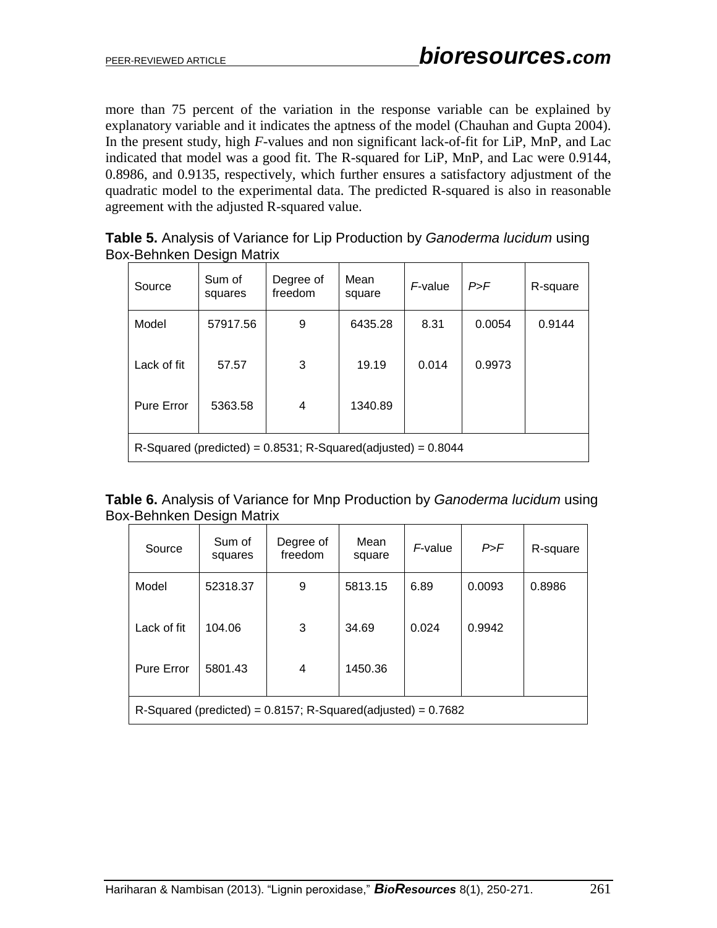more than 75 percent of the variation in the response variable can be explained by explanatory variable and it indicates the aptness of the model (Chauhan and Gupta 2004). In the present study, high *F-*values and non significant lack-of-fit for LiP, MnP, and Lac indicated that model was a good fit. The R-squared for LiP, MnP, and Lac were 0.9144, 0.8986, and 0.9135, respectively, which further ensures a satisfactory adjustment of the quadratic model to the experimental data. The predicted R-squared is also in reasonable agreement with the adjusted R-squared value.

|                           | Table 5. Analysis of Variance for Lip Production by Ganoderma lucidum using |
|---------------------------|-----------------------------------------------------------------------------|
| Box-Behnken Design Matrix |                                                                             |

| Source      | Sum of<br>squares                                                 | Degree of<br>freedom | Mean<br>square | F-value | P > F  | R-square |  |  |  |  |
|-------------|-------------------------------------------------------------------|----------------------|----------------|---------|--------|----------|--|--|--|--|
| Model       | 57917.56                                                          | 9                    | 6435.28        | 8.31    | 0.0054 | 0.9144   |  |  |  |  |
| Lack of fit | 57.57                                                             | 3                    | 19.19          | 0.014   | 0.9973 |          |  |  |  |  |
| Pure Error  | 5363.58                                                           | 4                    | 1340.89        |         |        |          |  |  |  |  |
|             | R-Squared (predicted) = $0.8531$ ; R-Squared(adjusted) = $0.8044$ |                      |                |         |        |          |  |  |  |  |

| <b>Table 6.</b> Analysis of Variance for Mnp Production by Ganoderma lucidum using |  |  |  |  |
|------------------------------------------------------------------------------------|--|--|--|--|
| Box-Behnken Design Matrix                                                          |  |  |  |  |

| Source            | Sum of<br>squares                                                 | Degree of<br>freedom | Mean<br>square | F-value | P > F  | R-square |  |  |  |  |
|-------------------|-------------------------------------------------------------------|----------------------|----------------|---------|--------|----------|--|--|--|--|
| Model             | 52318.37                                                          | 9                    | 5813.15        | 6.89    | 0.0093 | 0.8986   |  |  |  |  |
| Lack of fit       | 104.06                                                            | 3                    | 34.69          | 0.024   | 0.9942 |          |  |  |  |  |
| <b>Pure Error</b> | 5801.43                                                           | 4                    | 1450.36        |         |        |          |  |  |  |  |
|                   | R-Squared (predicted) = $0.8157$ ; R-Squared(adjusted) = $0.7682$ |                      |                |         |        |          |  |  |  |  |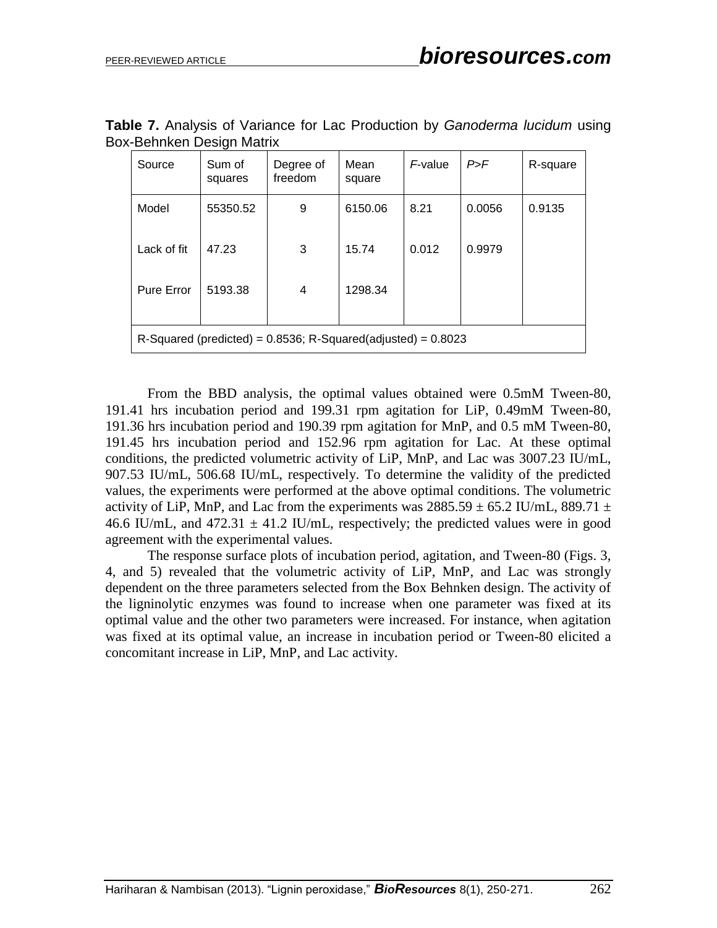| Source            | Sum of<br>squares                                                 | Degree of<br>freedom | Mean<br>square | F-value | P > F  | R-square |  |  |  |
|-------------------|-------------------------------------------------------------------|----------------------|----------------|---------|--------|----------|--|--|--|
| Model             | 55350.52                                                          | 9                    | 6150.06        | 8.21    | 0.0056 | 0.9135   |  |  |  |
| Lack of fit       | 47.23                                                             | 3                    | 15.74          | 0.012   | 0.9979 |          |  |  |  |
| <b>Pure Error</b> | 5193.38                                                           | 4                    | 1298.34        |         |        |          |  |  |  |
|                   | R-Squared (predicted) = $0.8536$ ; R-Squared(adjusted) = $0.8023$ |                      |                |         |        |          |  |  |  |

| Table 7. Analysis of Variance for Lac Production by Ganoderma lucidum using |  |  |  |  |  |
|-----------------------------------------------------------------------------|--|--|--|--|--|
| Box-Behnken Design Matrix                                                   |  |  |  |  |  |

From the BBD analysis, the optimal values obtained were 0.5mM Tween-80, 191.41 hrs incubation period and 199.31 rpm agitation for LiP, 0.49mM Tween-80, 191.36 hrs incubation period and 190.39 rpm agitation for MnP, and 0.5 mM Tween-80, 191.45 hrs incubation period and 152.96 rpm agitation for Lac. At these optimal conditions, the predicted volumetric activity of LiP, MnP, and Lac was 3007.23 IU/mL, 907.53 IU/mL, 506.68 IU/mL, respectively. To determine the validity of the predicted values, the experiments were performed at the above optimal conditions. The volumetric activity of LiP, MnP, and Lac from the experiments was  $2885.59 \pm 65.2$  IU/mL, 889.71  $\pm$ 46.6 IU/mL, and 472.31  $\pm$  41.2 IU/mL, respectively; the predicted values were in good agreement with the experimental values.

The response surface plots of incubation period, agitation, and Tween-80 (Figs. 3, 4, and 5) revealed that the volumetric activity of LiP, MnP, and Lac was strongly dependent on the three parameters selected from the Box Behnken design. The activity of the ligninolytic enzymes was found to increase when one parameter was fixed at its optimal value and the other two parameters were increased. For instance, when agitation was fixed at its optimal value, an increase in incubation period or Tween-80 elicited a concomitant increase in LiP, MnP, and Lac activity.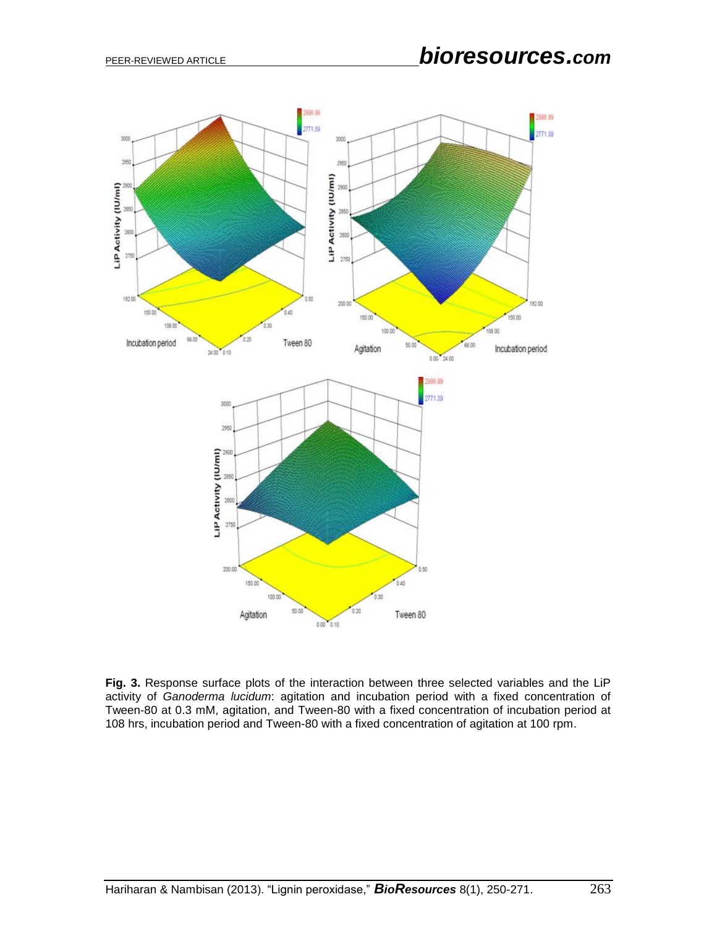

**Fig. 3.** Response surface plots of the interaction between three selected variables and the LiP activity of *Ganoderma lucidum*: agitation and incubation period with a fixed concentration of Tween-80 at 0.3 mM, agitation, and Tween-80 with a fixed concentration of incubation period at 108 hrs, incubation period and Tween-80 with a fixed concentration of agitation at 100 rpm.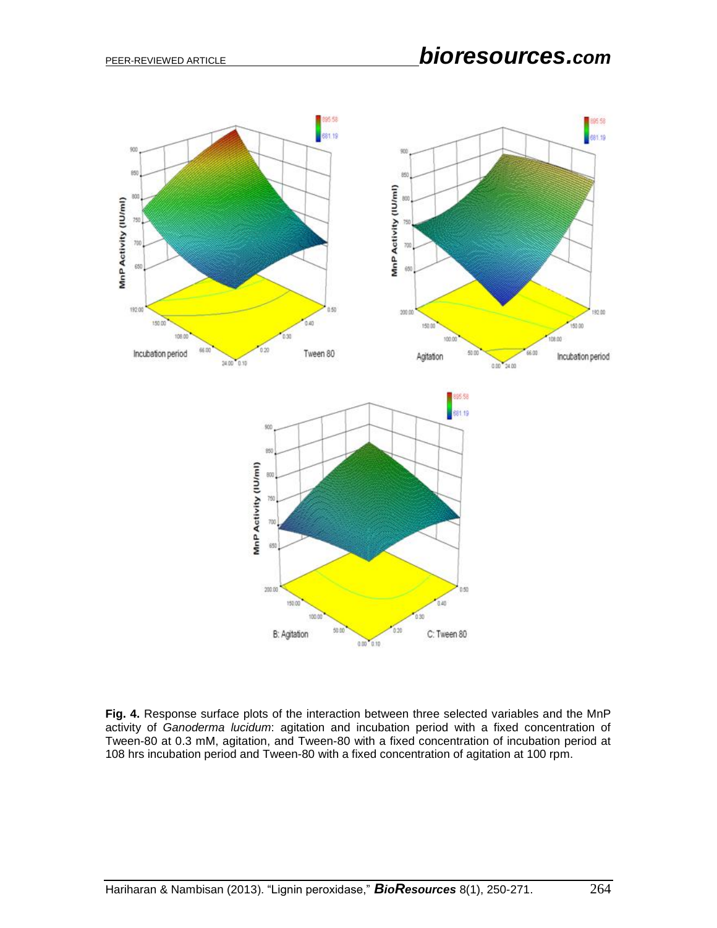

**Fig. 4.** Response surface plots of the interaction between three selected variables and the MnP activity of *Ganoderma lucidum*: agitation and incubation period with a fixed concentration of Tween-80 at 0.3 mM, agitation, and Tween-80 with a fixed concentration of incubation period at 108 hrs incubation period and Tween-80 with a fixed concentration of agitation at 100 rpm.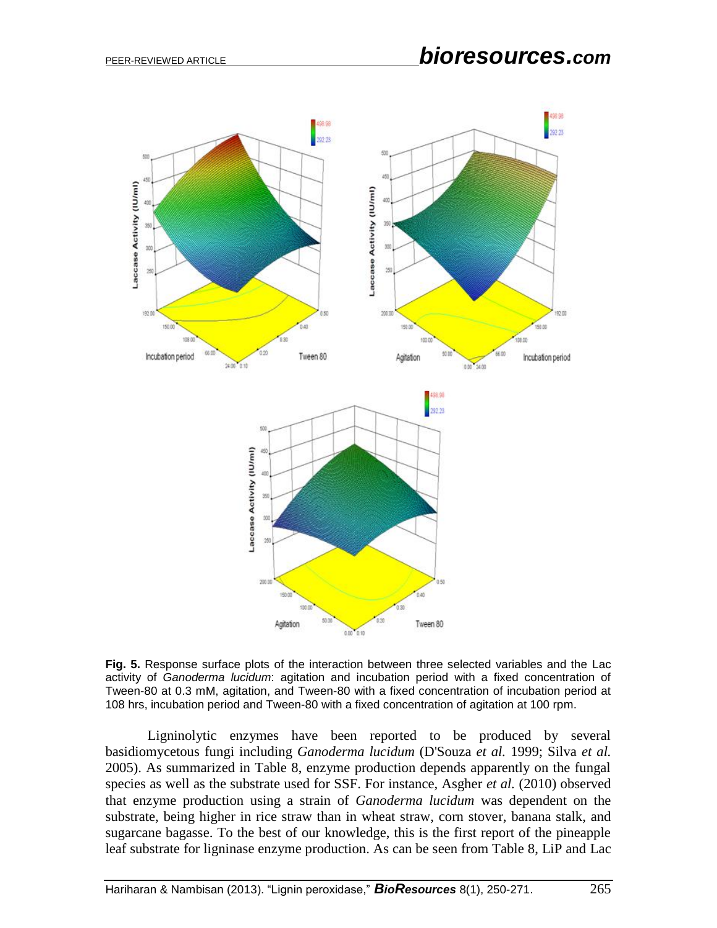

**Fig. 5.** Response surface plots of the interaction between three selected variables and the Lac activity of *Ganoderma lucidum*: agitation and incubation period with a fixed concentration of Tween-80 at 0.3 mM, agitation, and Tween-80 with a fixed concentration of incubation period at 108 hrs, incubation period and Tween-80 with a fixed concentration of agitation at 100 rpm.

Ligninolytic enzymes have been reported to be produced by several basidiomycetous fungi including *Ganoderma lucidum* (D'Souza *et al.* 1999; Silva *et al.* 2005). As summarized in Table 8, enzyme production depends apparently on the fungal species as well as the substrate used for SSF. For instance, Asgher *et al.* (2010) observed that enzyme production using a strain of *Ganoderma lucidum* was dependent on the substrate, being higher in rice straw than in wheat straw, corn stover, banana stalk, and sugarcane bagasse. To the best of our knowledge, this is the first report of the pineapple leaf substrate for ligninase enzyme production. As can be seen from Table 8, LiP and Lac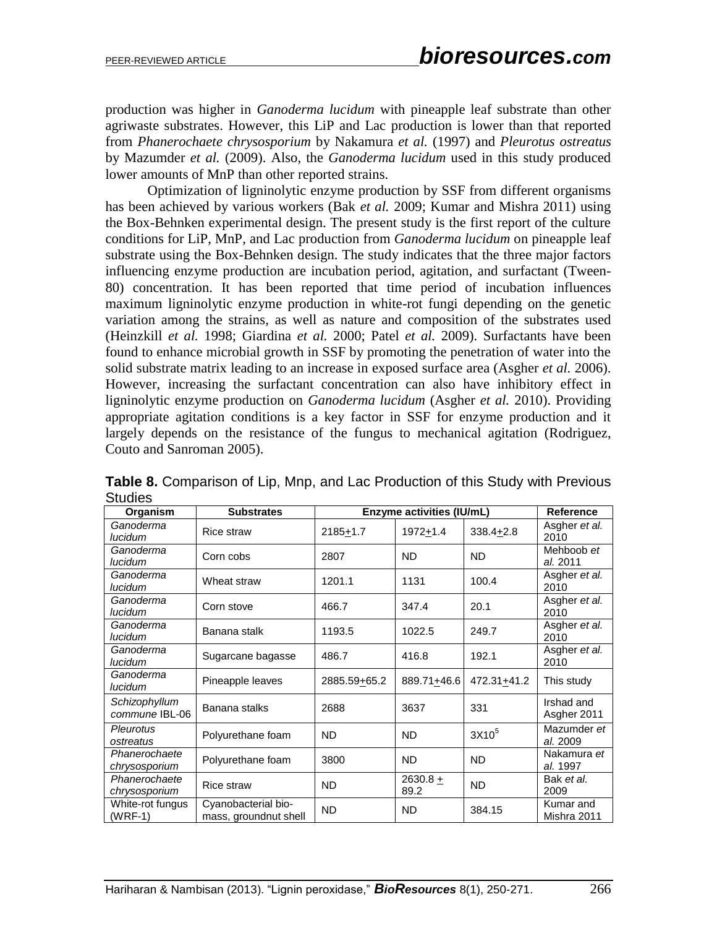production was higher in *Ganoderma lucidum* with pineapple leaf substrate than other agriwaste substrates. However, this LiP and Lac production is lower than that reported from *Phanerochaete chrysosporium* by Nakamura *et al.* (1997) and *Pleurotus ostreatus* by Mazumder *et al.* (2009). Also, the *Ganoderma lucidum* used in this study produced lower amounts of MnP than other reported strains.

Optimization of ligninolytic enzyme production by SSF from different organisms has been achieved by various workers (Bak *et al.* 2009; Kumar and Mishra 2011) using the Box-Behnken experimental design. The present study is the first report of the culture conditions for LiP, MnP, and Lac production from *Ganoderma lucidum* on pineapple leaf substrate using the Box-Behnken design. The study indicates that the three major factors influencing enzyme production are incubation period, agitation, and surfactant (Tween-80) concentration. It has been reported that time period of incubation influences maximum ligninolytic enzyme production in white-rot fungi depending on the genetic variation among the strains, as well as nature and composition of the substrates used (Heinzkill *et al.* 1998; Giardina *et al.* 2000; Patel *et al.* 2009). Surfactants have been found to enhance microbial growth in SSF by promoting the penetration of water into the solid substrate matrix leading to an increase in exposed surface area (Asgher *et al.* 2006). However, increasing the surfactant concentration can also have inhibitory effect in ligninolytic enzyme production on *Ganoderma lucidum* (Asgher *et al.* 2010). Providing appropriate agitation conditions is a key factor in SSF for enzyme production and it largely depends on the resistance of the fungus to mechanical agitation (Rodriguez, Couto and Sanroman 2005).

| Organism                        | <b>Substrates</b>                            |                       | <b>Enzyme activities (IU/mL)</b> |                          | <b>Reference</b>          |
|---------------------------------|----------------------------------------------|-----------------------|----------------------------------|--------------------------|---------------------------|
| Ganoderma<br>lucidum            | <b>Rice straw</b>                            | 2185 <sup>+</sup> 1.7 | 1972 <u>+</u> 1.4                | $338.4 + 2.8$            | Asgher et al.<br>2010     |
| Ganoderma<br>lucidum            | Corn cobs                                    | 2807                  | ND.                              | <b>ND</b>                | Mehboob et<br>al. 2011    |
| Ganoderma<br>lucidum            | Wheat straw                                  | 1201.1                | 1131                             | 100.4                    | Asgher et al.<br>2010     |
| Ganoderma<br>lucidum            | Corn stove                                   | 466.7                 | 347.4                            | 20.1                     | Asgher et al.<br>2010     |
| Ganoderma<br>lucidum            | Banana stalk                                 | 1193.5                | 1022.5                           | 249.7                    | Asgher et al.<br>2010     |
| Ganoderma<br>lucidum            | Sugarcane bagasse                            | 486.7                 | 416.8                            | 192.1                    | Asgher et al.<br>2010     |
| Ganoderma<br>lucidum            | Pineapple leaves                             | 2885.59+65.2          | 889.71+46.6                      | 472.31 <sub>±</sub> 41.2 | This study                |
| Schizophyllum<br>commune IBL-06 | Banana stalks                                | 2688                  | 3637                             | 331                      | Irshad and<br>Asgher 2011 |
| Pleurotus<br>ostreatus          | Polyurethane foam                            | ND.                   | ND.                              | 3X10 <sup>5</sup>        | Mazumder et<br>al. 2009   |
| Phanerochaete<br>chrysosporium  | Polyurethane foam                            | 3800                  | <b>ND</b>                        | <b>ND</b>                | Nakamura et<br>al. 1997   |
| Phanerochaete<br>chrysosporium  | <b>Rice straw</b>                            | <b>ND</b>             | 2630.8 $+$<br>89.2               | <b>ND</b>                | Bak et al.<br>2009        |
| White-rot fungus<br>(WRF-1)     | Cyanobacterial bio-<br>mass, groundnut shell | <b>ND</b>             | <b>ND</b>                        | 384.15                   | Kumar and<br>Mishra 2011  |

**Table 8.** Comparison of Lip, Mnp, and Lac Production of this Study with Previous **Studies**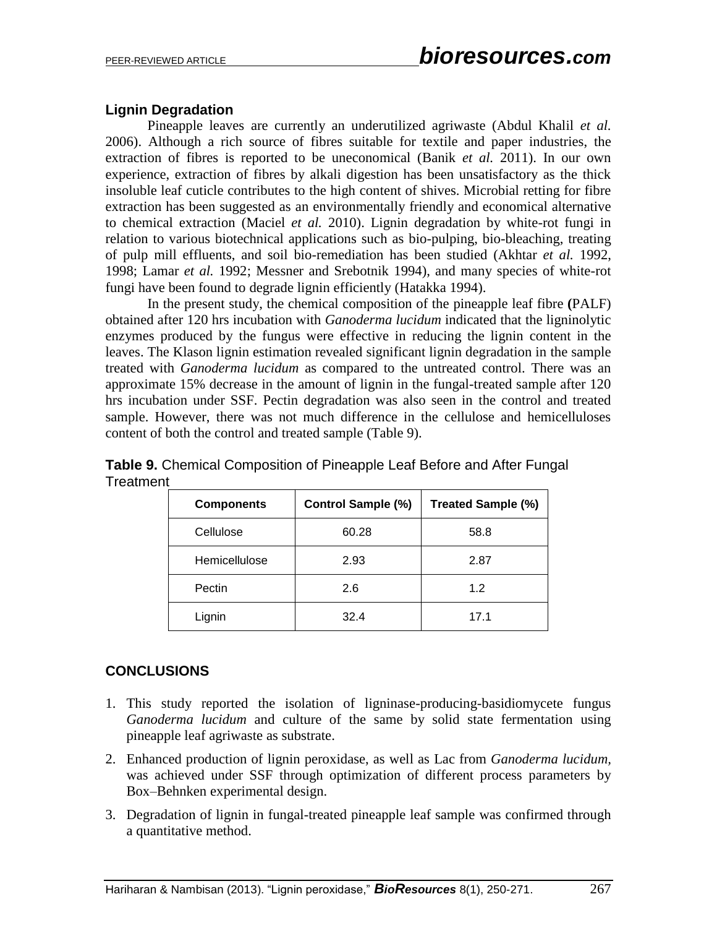# **Lignin Degradation**

Pineapple leaves are currently an underutilized agriwaste (Abdul Khalil *et al.* 2006). Although a rich source of fibres suitable for textile and paper industries, the extraction of fibres is reported to be uneconomical (Banik *et al.* 2011). In our own experience, extraction of fibres by alkali digestion has been unsatisfactory as the thick insoluble leaf cuticle contributes to the high content of shives. Microbial retting for fibre extraction has been suggested as an environmentally friendly and economical alternative to chemical extraction (Maciel *et al.* 2010). Lignin degradation by white-rot fungi in relation to various biotechnical applications such as bio-pulping, bio-bleaching, treating of pulp mill effluents, and soil bio-remediation has been studied (Akhtar *et al.* 1992, 1998; Lamar *et al.* 1992; Messner and Srebotnik 1994), and many species of white-rot fungi have been found to degrade lignin efficiently (Hatakka 1994).

In the present study, the chemical composition of the pineapple leaf fibre **(**PALF) obtained after 120 hrs incubation with *Ganoderma lucidum* indicated that the ligninolytic enzymes produced by the fungus were effective in reducing the lignin content in the leaves. The Klason lignin estimation revealed significant lignin degradation in the sample treated with *Ganoderma lucidum* as compared to the untreated control. There was an approximate 15% decrease in the amount of lignin in the fungal-treated sample after 120 hrs incubation under SSF. Pectin degradation was also seen in the control and treated sample. However, there was not much difference in the cellulose and hemicelluloses content of both the control and treated sample (Table 9).

| <b>Components</b> | <b>Control Sample (%)</b> | Treated Sample (%) |
|-------------------|---------------------------|--------------------|
| Cellulose         | 60.28                     | 58.8               |
| Hemicellulose     | 2.93                      | 2.87               |
| Pectin            | 2.6                       | 1.2                |
| Lignin            | 32.4                      | 17.1               |

**Table 9.** Chemical Composition of Pineapple Leaf Before and After Fungal **Treatment** 

# **CONCLUSIONS**

- 1. This study reported the isolation of ligninase-producing-basidiomycete fungus *Ganoderma lucidum* and culture of the same by solid state fermentation using pineapple leaf agriwaste as substrate.
- 2. Enhanced production of lignin peroxidase, as well as Lac from *Ganoderma lucidum,* was achieved under SSF through optimization of different process parameters by Box–Behnken experimental design.
- 3. Degradation of lignin in fungal-treated pineapple leaf sample was confirmed through a quantitative method.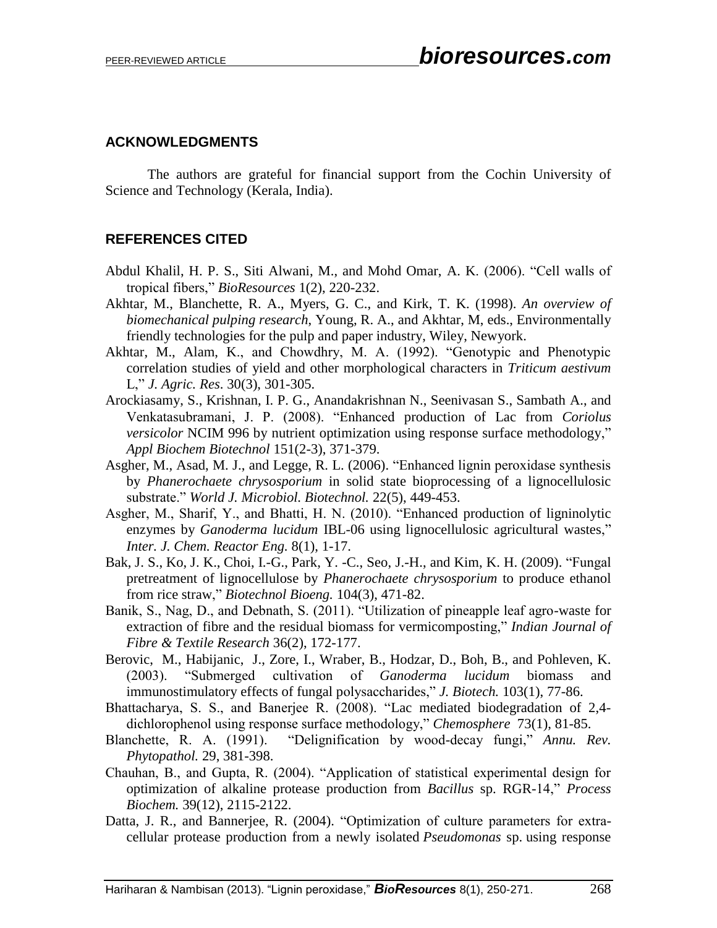# **ACKNOWLEDGMENTS**

The authors are grateful for financial support from the Cochin University of Science and Technology (Kerala, India).

# **REFERENCES CITED**

- Abdul Khalil, H. P. S., Siti Alwani, M., and Mohd Omar, A. K. (2006). "Cell walls of tropical fibers," *BioResources* 1(2), 220-232.
- Akhtar, M., Blanchette, R. A., Myers, G. C., and Kirk, T. K. (1998). *An overview of biomechanical pulping research*, Young, R. A., and Akhtar, M, eds., Environmentally friendly technologies for the pulp and paper industry, Wiley, Newyork.
- Akhtar, M., Alam, K., and Chowdhry, M. A. (1992). "Genotypic and Phenotypic correlation studies of yield and other morphological characters in *Triticum aestivum*  L," *J. Agric. Res*. 30(3), 301-305.
- Arockiasamy, S., Krishnan, I. P. G., Anandakrishnan N., Seenivasan S., Sambath A., and Venkatasubramani, J. P. (2008). "Enhanced production of Lac from *Coriolus versicolor* NCIM 996 by nutrient optimization using response surface methodology," *Appl Biochem Biotechnol* 151(2-3), 371-379.
- Asgher, M., Asad, M. J., and Legge, R. L. (2006). "Enhanced lignin peroxidase synthesis by *Phanerochaete chrysosporium* in solid state bioprocessing of a lignocellulosic substrate." *World J. Microbiol. Biotechnol.* 22(5), 449-453.
- Asgher, M., Sharif, Y., and Bhatti, H. N. (2010). "Enhanced production of ligninolytic enzymes by *Ganoderma lucidum* IBL-06 using lignocellulosic agricultural wastes," *Inter. J. Chem. Reactor Eng.* 8(1), 1-17.
- Bak, J. S., Ko, J. K., Choi, I.-G., Park, Y. -C., Seo, J.-H., and Kim, K. H. (2009). "Fungal pretreatment of lignocellulose by *Phanerochaete chrysosporium* to produce ethanol from rice straw," *Biotechnol Bioeng.* 104(3), 471-82.
- Banik, S., Nag, D., and Debnath, S. (2011). "Utilization of pineapple leaf agro-waste for extraction of fibre and the residual biomass for vermicomposting," *Indian Journal of Fibre & Textile Research* 36(2), 172-177.
- Berovic, M., Habijanic, J., Zore, I., Wraber, B., Hodzar, D., Boh, B., and Pohleven, K. (2003). "Submerged cultivation of *Ganoderma lucidum* biomass and immunostimulatory effects of fungal polysaccharides," *J. Biotech.* 103(1), 77-86.
- Bhattacharya, S. S., and Banerjee R. (2008). "Lac mediated biodegradation of 2,4 dichlorophenol using response surface methodology," *Chemosphere* 73(1), 81-85.
- Blanchette, R. A. (1991). "Delignification by wood-decay fungi," *Annu. Rev. Phytopathol.* 29, 381-398.
- Chauhan, B., and Gupta, R. (2004). "Application of statistical experimental design for optimization of alkaline protease production from *Bacillus* sp. RGR-14," *Process Biochem.* 39(12), 2115-2122.
- Datta, J. R., and Bannerjee, R. (2004). "Optimization of culture parameters for extracellular protease production from a newly isolated *Pseudomonas* sp. using response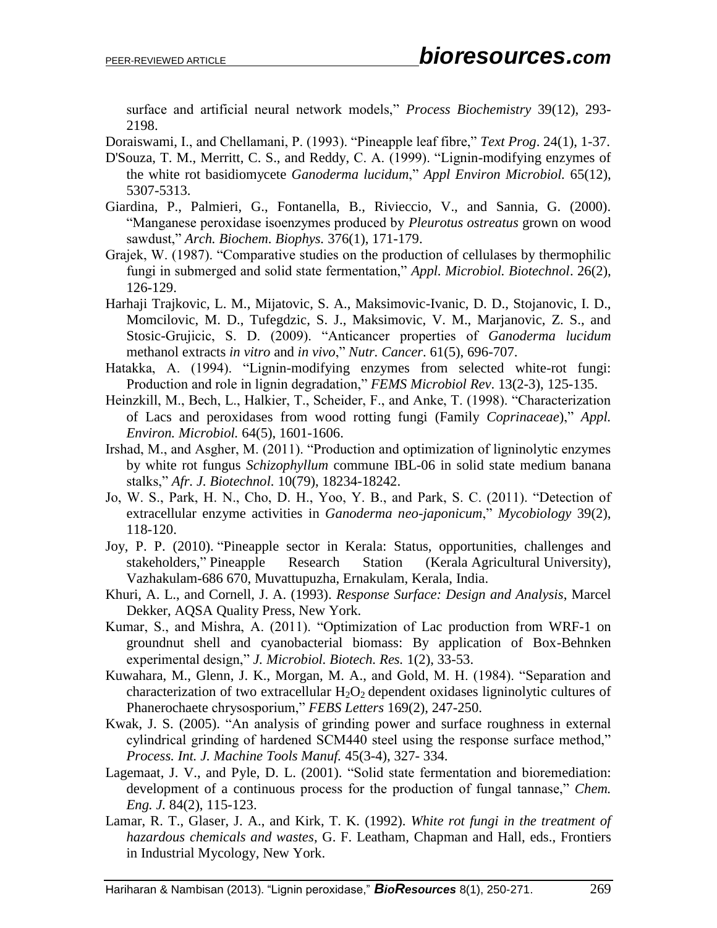surface and artificial neural network models," *Process Biochemistry* 39(12), 293- 2198.

Doraiswami, I., and Chellamani, P. (1993). "Pineapple leaf fibre," *Text Prog*. 24(1), 1-37.

- D'Souza, T. M., Merritt, C. S., and Reddy, C. A. (1999). "Lignin-modifying enzymes of the white rot basidiomycete *Ganoderma lucidum*," *Appl Environ Microbiol.* 65(12), 5307-5313.
- Giardina, P., Palmieri, G., Fontanella, B., Rivieccio, V., and Sannia, G. (2000). "Manganese peroxidase isoenzymes produced by *Pleurotus ostreatus* grown on wood sawdust," *Arch. Biochem. Biophys.* 376(1), 171-179.
- Grajek, W. (1987). "Comparative studies on the production of cellulases by thermophilic fungi in submerged and solid state fermentation," *Appl. Microbiol. Biotechnol*. 26(2), 126-129.
- Harhaji Trajkovic, L. M., Mijatovic, S. A., Maksimovic-Ivanic, D. D., Stojanovic, I. D., Momcilovic, M. D., Tufegdzic, S. J., Maksimovic, V. M., Marjanovic, Z. S., and Stosic-Grujicic, S. D. (2009). "Anticancer properties of *Ganoderma lucidum* methanol extracts *in vitro* and *in vivo*," *Nutr. Cancer*. 61(5), 696-707.
- Hatakka, A. (1994). "Lignin-modifying enzymes from selected white-rot fungi: Production and role in lignin degradation," *FEMS Microbiol Rev*. 13(2-3), 125-135.
- Heinzkill, M., Bech, L., Halkier, T., Scheider, F., and Anke, T. (1998). "Characterization of Lacs and peroxidases from wood rotting fungi (Family *Coprinaceae*)," *Appl. Environ. Microbiol.* 64(5), 1601-1606.
- Irshad, M., and Asgher, M. (2011). "Production and optimization of ligninolytic enzymes by white rot fungus *Schizophyllum* commune IBL-06 in solid state medium banana stalks," *Afr. J. Biotechnol.* 10(79), 18234-18242.
- Jo, W. S., Park, H. N., Cho, D. H., Yoo, Y. B., and Park, S. C. (2011). "Detection of extracellular enzyme activities in *Ganoderma neo-japonicum*," *Mycobiology* 39(2), 118-120.
- Joy, P. P. (2010). "Pineapple sector in Kerala: Status, opportunities, challenges and stakeholders," Pineapple Research Station (Kerala Agricultural University), Vazhakulam-686 670, Muvattupuzha, Ernakulam, Kerala, India.
- Khuri, A. L., and Cornell, J. A. (1993). *Response Surface: Design and Analysis*, Marcel Dekker, AQSA Quality Press, New York.
- Kumar, S., and Mishra, A. (2011). "Optimization of Lac production from WRF-1 on groundnut shell and cyanobacterial biomass: By application of Box-Behnken experimental design," *J. Microbiol. Biotech. Res.* 1(2), 33-53.
- Kuwahara, M., Glenn, J. K., Morgan, M. A., and Gold, M. H. (1984). "Separation and characterization of two extracellular  $H_2O_2$  dependent oxidases ligninolytic cultures of Phanerochaete chrysosporium," *FEBS Letters* 169(2), 247-250.
- Kwak, J. S. (2005). "An analysis of grinding power and surface roughness in external cylindrical grinding of hardened SCM440 steel using the response surface method," *Process. Int. J. Machine Tools Manuf.* 45(3-4), 327- 334.
- Lagemaat, J. V., and Pyle, D. L. (2001). "Solid state fermentation and bioremediation: development of a continuous process for the production of fungal tannase," *Chem. Eng. J.* 84(2), 115-123.
- Lamar, R. T., Glaser, J. A., and Kirk, T. K. (1992). *White rot fungi in the treatment of hazardous chemicals and wastes*, G. F. Leatham, Chapman and Hall, eds., Frontiers in Industrial Mycology, New York.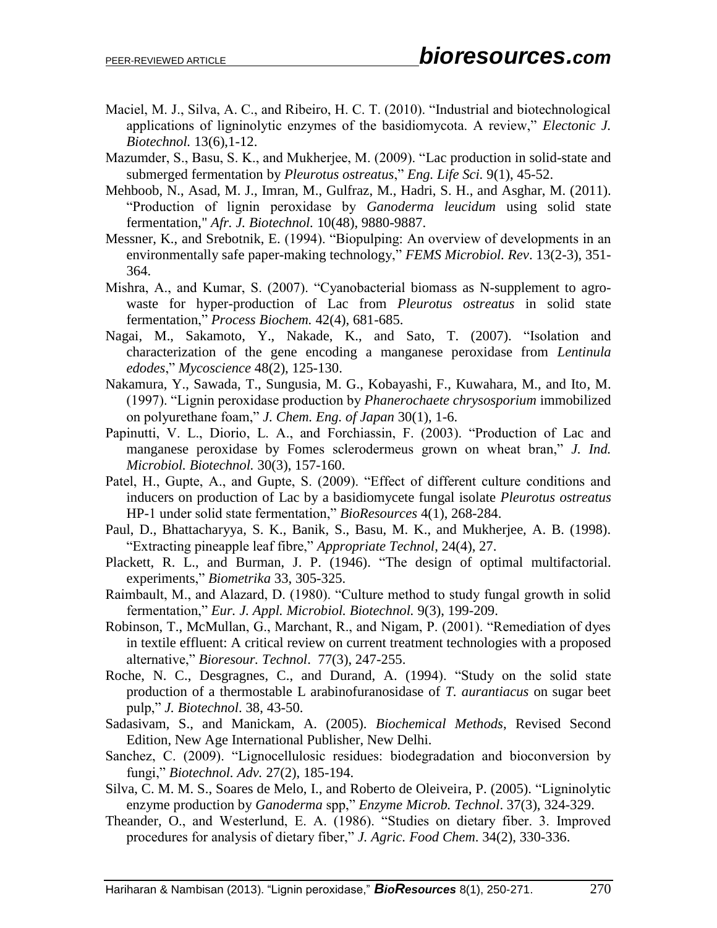- Maciel, M. J., Silva, A. C., and Ribeiro, H. C. T. (2010). "Industrial and biotechnological applications of ligninolytic enzymes of the basidiomycota. A review," *Electonic J. Biotechnol.* 13(6),1-12.
- Mazumder, S., Basu, S. K., and Mukherjee, M. (2009). "Lac production in solid-state and submerged fermentation by *Pleurotus ostreatus*," *Eng. Life Sci.* 9(1), 45-52.
- Mehboob, N., Asad, M. J., Imran, M., Gulfraz, M., Hadri, S. H., and Asghar, M. (2011). "Production of lignin peroxidase by *Ganoderma leucidum* using solid state fermentation," *Afr. J. Biotechnol.* 10(48), 9880-9887.
- Messner, K., and Srebotnik, E. (1994). "Biopulping: An overview of developments in an environmentally safe paper-making technology," *FEMS Microbiol. Rev*. 13(2-3), 351- 364.
- Mishra, A., and Kumar, S. (2007). "Cyanobacterial biomass as N-supplement to agrowaste for hyper-production of Lac from *Pleurotus ostreatus* in solid state fermentation," *Process Biochem.* 42(4), 681-685.
- Nagai, M., Sakamoto, Y., Nakade, K., and Sato, T. (2007). "Isolation and characterization of the gene encoding a manganese peroxidase from *Lentinula edodes*," *Mycoscience* 48(2), 125-130.
- Nakamura, Y., Sawada, T., Sungusia, M. G., Kobayashi, F., Kuwahara, M., and Ito, M. (1997). "Lignin peroxidase production by *Phanerochaete chrysosporium* immobilized on polyurethane foam," *J. Chem. Eng. of Japan* 30(1), 1-6.
- Papinutti, V. L., Diorio, L. A., and Forchiassin, F. (2003). "Production of Lac and manganese peroxidase by Fomes sclerodermeus grown on wheat bran," *J. Ind. Microbiol. Biotechnol.* 30(3), 157-160.
- Patel, H., Gupte, A., and Gupte, S. (2009). "Effect of different culture conditions and inducers on production of Lac by a basidiomycete fungal isolate *Pleurotus ostreatus* HP-1 under solid state fermentation," *BioResources* 4(1), 268-284.
- Paul, D., Bhattacharyya, S. K., Banik, S., Basu, M. K., and Mukherjee, A. B. (1998). "Extracting pineapple leaf fibre," *Appropriate Technol*, 24(4), 27.
- Plackett, R. L., and Burman, J. P. (1946). "The design of optimal multifactorial. experiments," *Biometrika* 33, 305-325.
- Raimbault, M., and Alazard, D. (1980). "Culture method to study fungal growth in solid fermentation," *Eur. J. Appl. Microbiol. Biotechnol.* 9(3), 199-209.
- Robinson, T., McMullan, G., Marchant, R., and Nigam, P. (2001). "Remediation of dyes in textile effluent: A critical review on current treatment technologies with a proposed alternative," *Bioresour. Technol*. 77(3), 247-255.
- Roche, N. C., Desgragnes, C., and Durand, A. (1994). "Study on the solid state production of a thermostable L arabinofuranosidase of *T. aurantiacus* on sugar beet pulp," *J. Biotechnol*. 38, 43-50.
- Sadasivam, S., and Manickam, A. (2005). *Biochemical Methods*, Revised Second Edition, New Age International Publisher, New Delhi.
- Sanchez, C. (2009). "Lignocellulosic residues: biodegradation and bioconversion by fungi," *Biotechnol. Adv.* 27(2), 185-194.
- Silva, C. M. M. S., Soares de Melo, I., and Roberto de Oleiveira, P. (2005). "Ligninolytic enzyme production by *Ganoderma* spp," *Enzyme Microb. Technol*. 37(3), 324-329.
- Theander, O., and Westerlund, E. A. (1986). "Studies on dietary fiber. 3. Improved procedures for analysis of dietary fiber," *J. Agric. Food Chem*. 34(2), 330-336.